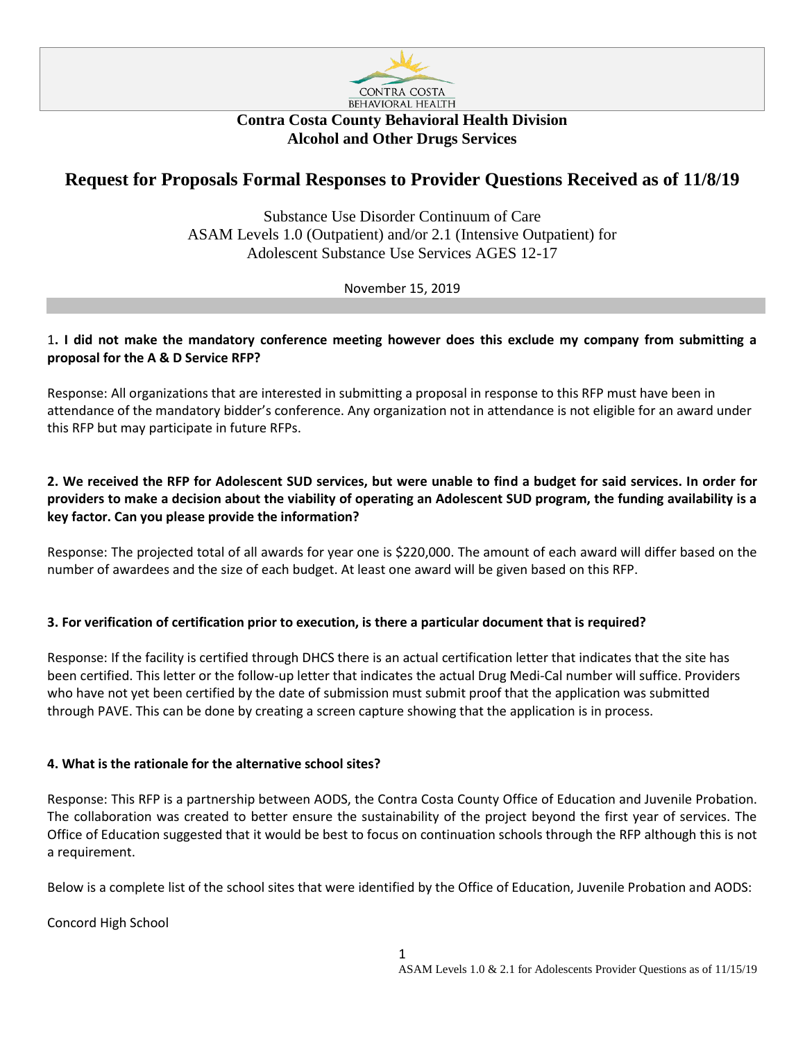

# **Contra Costa County Behavioral Health Division Alcohol and Other Drugs Services**

# **Request for Proposals Formal Responses to Provider Questions Received as of 11/8/19**

Substance Use Disorder Continuum of Care ASAM Levels 1.0 (Outpatient) and/or 2.1 (Intensive Outpatient) for Adolescent Substance Use Services AGES 12-17

November 15, 2019

### 1**. I did not make the mandatory conference meeting however does this exclude my company from submitting a proposal for the A & D Service RFP?**

Response: All organizations that are interested in submitting a proposal in response to this RFP must have been in attendance of the mandatory bidder's conference. Any organization not in attendance is not eligible for an award under this RFP but may participate in future RFPs.

# **2. We received the RFP for Adolescent SUD services, but were unable to find a budget for said services. In order for providers to make a decision about the viability of operating an Adolescent SUD program, the funding availability is a key factor. Can you please provide the information?**

Response: The projected total of all awards for year one is \$220,000. The amount of each award will differ based on the number of awardees and the size of each budget. At least one award will be given based on this RFP.

# **3. For verification of certification prior to execution, is there a particular document that is required?**

Response: If the facility is certified through DHCS there is an actual certification letter that indicates that the site has been certified. This letter or the follow-up letter that indicates the actual Drug Medi-Cal number will suffice. Providers who have not yet been certified by the date of submission must submit proof that the application was submitted through PAVE. This can be done by creating a screen capture showing that the application is in process.

# **4. What is the rationale for the alternative school sites?**

Response: This RFP is a partnership between AODS, the Contra Costa County Office of Education and Juvenile Probation. The collaboration was created to better ensure the sustainability of the project beyond the first year of services. The Office of Education suggested that it would be best to focus on continuation schools through the RFP although this is not a requirement.

Below is a complete list of the school sites that were identified by the Office of Education, Juvenile Probation and AODS:

Concord High School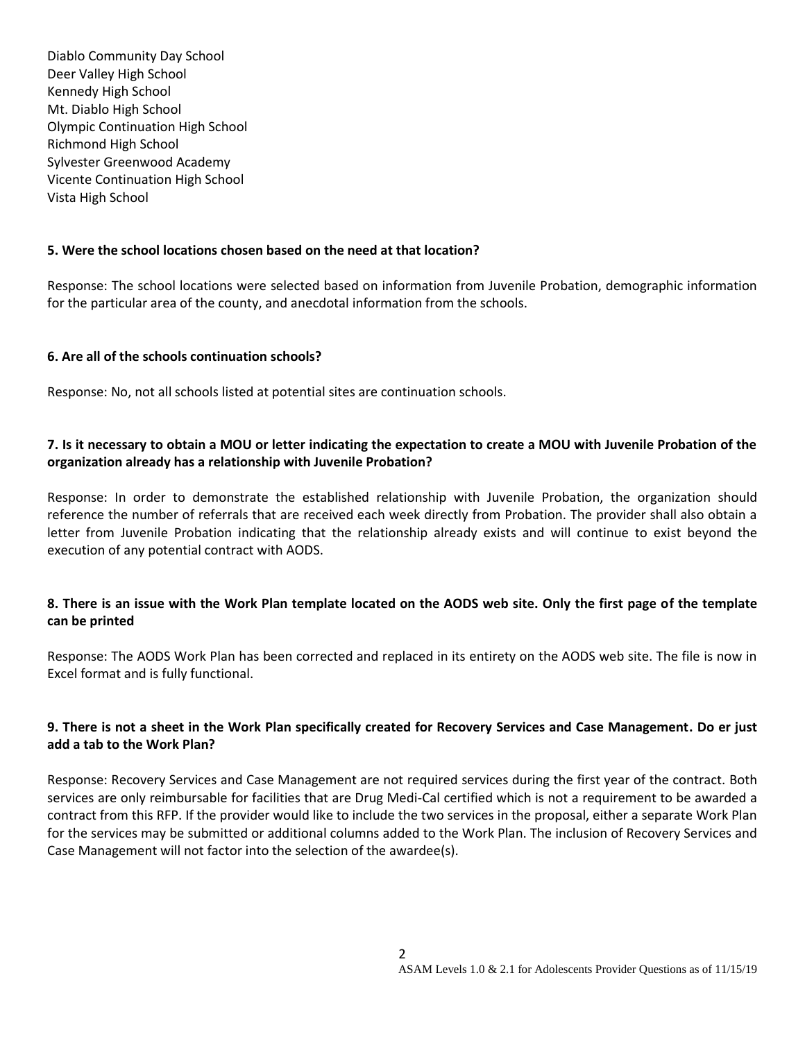Diablo Community Day School Deer Valley High School Kennedy High School Mt. Diablo High School Olympic Continuation High School Richmond High School Sylvester Greenwood Academy Vicente Continuation High School Vista High School

#### **5. Were the school locations chosen based on the need at that location?**

Response: The school locations were selected based on information from Juvenile Probation, demographic information for the particular area of the county, and anecdotal information from the schools.

#### **6. Are all of the schools continuation schools?**

Response: No, not all schools listed at potential sites are continuation schools.

# **7. Is it necessary to obtain a MOU or letter indicating the expectation to create a MOU with Juvenile Probation of the organization already has a relationship with Juvenile Probation?**

Response: In order to demonstrate the established relationship with Juvenile Probation, the organization should reference the number of referrals that are received each week directly from Probation. The provider shall also obtain a letter from Juvenile Probation indicating that the relationship already exists and will continue to exist beyond the execution of any potential contract with AODS.

#### **8. There is an issue with the Work Plan template located on the AODS web site. Only the first page of the template can be printed**

Response: The AODS Work Plan has been corrected and replaced in its entirety on the AODS web site. The file is now in Excel format and is fully functional.

# **9. There is not a sheet in the Work Plan specifically created for Recovery Services and Case Management. Do er just add a tab to the Work Plan?**

Response: Recovery Services and Case Management are not required services during the first year of the contract. Both services are only reimbursable for facilities that are Drug Medi-Cal certified which is not a requirement to be awarded a contract from this RFP. If the provider would like to include the two services in the proposal, either a separate Work Plan for the services may be submitted or additional columns added to the Work Plan. The inclusion of Recovery Services and Case Management will not factor into the selection of the awardee(s).